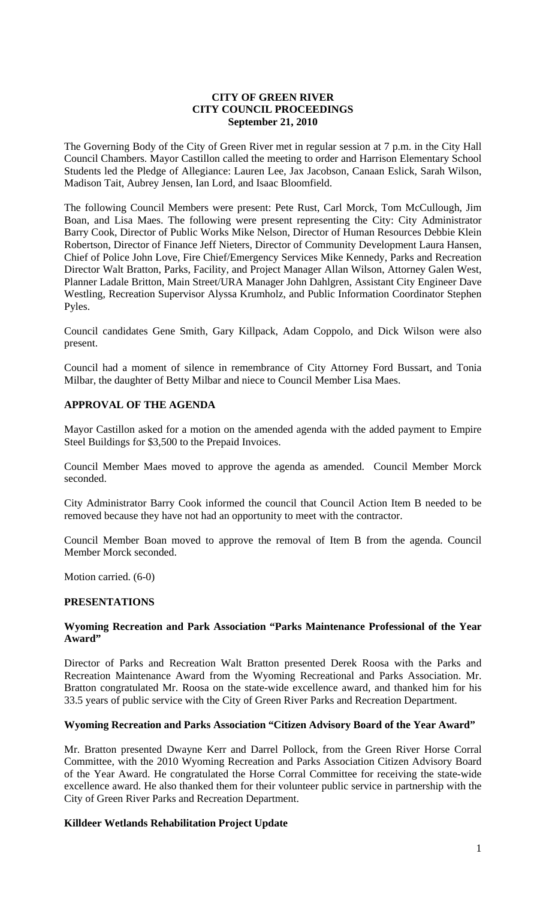### **CITY OF GREEN RIVER CITY COUNCIL PROCEEDINGS September 21, 2010**

The Governing Body of the City of Green River met in regular session at 7 p.m. in the City Hall Council Chambers. Mayor Castillon called the meeting to order and Harrison Elementary School Students led the Pledge of Allegiance: Lauren Lee, Jax Jacobson, Canaan Eslick, Sarah Wilson, Madison Tait, Aubrey Jensen, Ian Lord, and Isaac Bloomfield.

The following Council Members were present: Pete Rust, Carl Morck, Tom McCullough, Jim Boan, and Lisa Maes. The following were present representing the City: City Administrator Barry Cook, Director of Public Works Mike Nelson, Director of Human Resources Debbie Klein Robertson, Director of Finance Jeff Nieters, Director of Community Development Laura Hansen, Chief of Police John Love, Fire Chief/Emergency Services Mike Kennedy, Parks and Recreation Director Walt Bratton, Parks, Facility, and Project Manager Allan Wilson, Attorney Galen West, Planner Ladale Britton, Main Street/URA Manager John Dahlgren, Assistant City Engineer Dave Westling, Recreation Supervisor Alyssa Krumholz, and Public Information Coordinator Stephen Pyles.

Council candidates Gene Smith, Gary Killpack, Adam Coppolo, and Dick Wilson were also present.

Council had a moment of silence in remembrance of City Attorney Ford Bussart, and Tonia Milbar, the daughter of Betty Milbar and niece to Council Member Lisa Maes.

## **APPROVAL OF THE AGENDA**

Mayor Castillon asked for a motion on the amended agenda with the added payment to Empire Steel Buildings for \$3,500 to the Prepaid Invoices.

Council Member Maes moved to approve the agenda as amended. Council Member Morck seconded.

City Administrator Barry Cook informed the council that Council Action Item B needed to be removed because they have not had an opportunity to meet with the contractor.

Council Member Boan moved to approve the removal of Item B from the agenda. Council Member Morck seconded.

Motion carried. (6-0)

#### **PRESENTATIONS**

#### **Wyoming Recreation and Park Association "Parks Maintenance Professional of the Year Award"**

Director of Parks and Recreation Walt Bratton presented Derek Roosa with the Parks and Recreation Maintenance Award from the Wyoming Recreational and Parks Association. Mr. Bratton congratulated Mr. Roosa on the state-wide excellence award, and thanked him for his 33.5 years of public service with the City of Green River Parks and Recreation Department.

#### **Wyoming Recreation and Parks Association "Citizen Advisory Board of the Year Award"**

Mr. Bratton presented Dwayne Kerr and Darrel Pollock, from the Green River Horse Corral Committee, with the 2010 Wyoming Recreation and Parks Association Citizen Advisory Board of the Year Award. He congratulated the Horse Corral Committee for receiving the state-wide excellence award. He also thanked them for their volunteer public service in partnership with the City of Green River Parks and Recreation Department.

#### **Killdeer Wetlands Rehabilitation Project Update**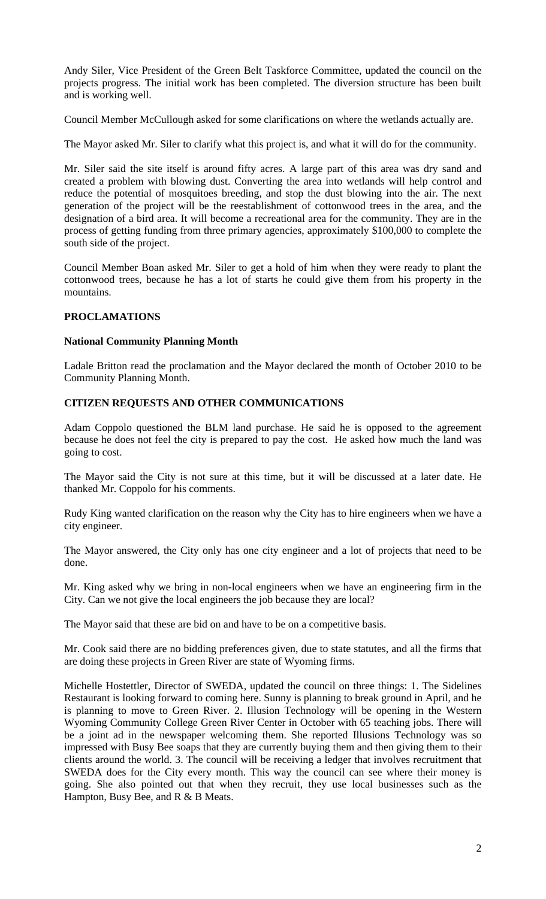Andy Siler, Vice President of the Green Belt Taskforce Committee, updated the council on the projects progress. The initial work has been completed. The diversion structure has been built and is working well.

Council Member McCullough asked for some clarifications on where the wetlands actually are.

The Mayor asked Mr. Siler to clarify what this project is, and what it will do for the community.

Mr. Siler said the site itself is around fifty acres. A large part of this area was dry sand and created a problem with blowing dust. Converting the area into wetlands will help control and reduce the potential of mosquitoes breeding, and stop the dust blowing into the air. The next generation of the project will be the reestablishment of cottonwood trees in the area, and the designation of a bird area. It will become a recreational area for the community. They are in the process of getting funding from three primary agencies, approximately \$100,000 to complete the south side of the project.

Council Member Boan asked Mr. Siler to get a hold of him when they were ready to plant the cottonwood trees, because he has a lot of starts he could give them from his property in the mountains.

# **PROCLAMATIONS**

## **National Community Planning Month**

Ladale Britton read the proclamation and the Mayor declared the month of October 2010 to be Community Planning Month.

# **CITIZEN REQUESTS AND OTHER COMMUNICATIONS**

Adam Coppolo questioned the BLM land purchase. He said he is opposed to the agreement because he does not feel the city is prepared to pay the cost. He asked how much the land was going to cost.

The Mayor said the City is not sure at this time, but it will be discussed at a later date. He thanked Mr. Coppolo for his comments.

Rudy King wanted clarification on the reason why the City has to hire engineers when we have a city engineer.

The Mayor answered, the City only has one city engineer and a lot of projects that need to be done.

Mr. King asked why we bring in non-local engineers when we have an engineering firm in the City. Can we not give the local engineers the job because they are local?

The Mayor said that these are bid on and have to be on a competitive basis.

Mr. Cook said there are no bidding preferences given, due to state statutes, and all the firms that are doing these projects in Green River are state of Wyoming firms.

Michelle Hostettler, Director of SWEDA, updated the council on three things: 1. The Sidelines Restaurant is looking forward to coming here. Sunny is planning to break ground in April, and he is planning to move to Green River. 2. Illusion Technology will be opening in the Western Wyoming Community College Green River Center in October with 65 teaching jobs. There will be a joint ad in the newspaper welcoming them. She reported Illusions Technology was so impressed with Busy Bee soaps that they are currently buying them and then giving them to their clients around the world. 3. The council will be receiving a ledger that involves recruitment that SWEDA does for the City every month. This way the council can see where their money is going. She also pointed out that when they recruit, they use local businesses such as the Hampton, Busy Bee, and R & B Meats.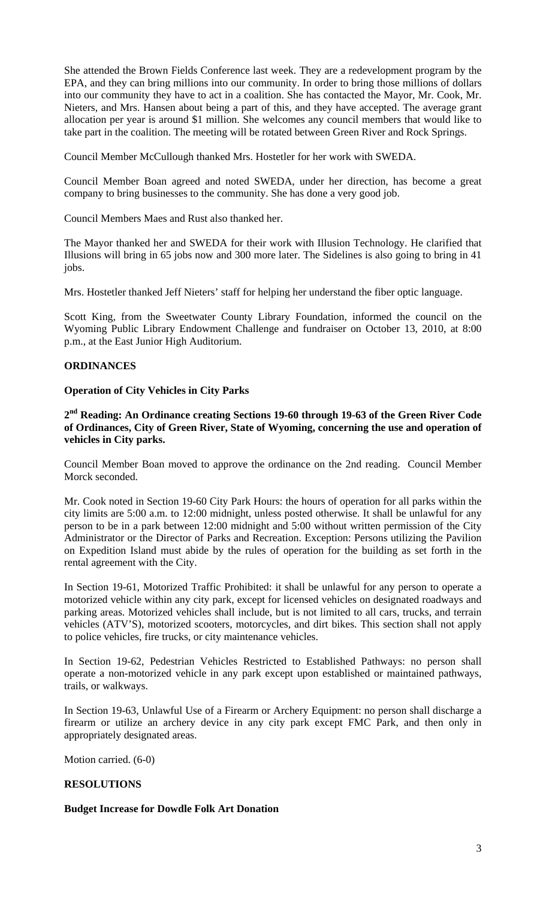She attended the Brown Fields Conference last week. They are a redevelopment program by the EPA, and they can bring millions into our community. In order to bring those millions of dollars into our community they have to act in a coalition. She has contacted the Mayor, Mr. Cook, Mr. Nieters, and Mrs. Hansen about being a part of this, and they have accepted. The average grant allocation per year is around \$1 million. She welcomes any council members that would like to take part in the coalition. The meeting will be rotated between Green River and Rock Springs.

Council Member McCullough thanked Mrs. Hostetler for her work with SWEDA.

Council Member Boan agreed and noted SWEDA, under her direction, has become a great company to bring businesses to the community. She has done a very good job.

Council Members Maes and Rust also thanked her.

The Mayor thanked her and SWEDA for their work with Illusion Technology. He clarified that Illusions will bring in 65 jobs now and 300 more later. The Sidelines is also going to bring in 41 jobs.

Mrs. Hostetler thanked Jeff Nieters' staff for helping her understand the fiber optic language.

Scott King, from the Sweetwater County Library Foundation, informed the council on the Wyoming Public Library Endowment Challenge and fundraiser on October 13, 2010, at 8:00 p.m., at the East Junior High Auditorium.

## **ORDINANCES**

#### **Operation of City Vehicles in City Parks**

**2nd Reading: An Ordinance creating Sections 19-60 through 19-63 of the Green River Code of Ordinances, City of Green River, State of Wyoming, concerning the use and operation of vehicles in City parks.** 

Council Member Boan moved to approve the ordinance on the 2nd reading. Council Member Morck seconded.

Mr. Cook noted in Section 19-60 City Park Hours: the hours of operation for all parks within the city limits are 5:00 a.m. to 12:00 midnight, unless posted otherwise. It shall be unlawful for any person to be in a park between 12:00 midnight and 5:00 without written permission of the City Administrator or the Director of Parks and Recreation. Exception: Persons utilizing the Pavilion on Expedition Island must abide by the rules of operation for the building as set forth in the rental agreement with the City.

In Section 19-61, Motorized Traffic Prohibited: it shall be unlawful for any person to operate a motorized vehicle within any city park, except for licensed vehicles on designated roadways and parking areas. Motorized vehicles shall include, but is not limited to all cars, trucks, and terrain vehicles (ATV'S), motorized scooters, motorcycles, and dirt bikes. This section shall not apply to police vehicles, fire trucks, or city maintenance vehicles.

In Section 19-62, Pedestrian Vehicles Restricted to Established Pathways: no person shall operate a non-motorized vehicle in any park except upon established or maintained pathways, trails, or walkways.

In Section 19-63, Unlawful Use of a Firearm or Archery Equipment: no person shall discharge a firearm or utilize an archery device in any city park except FMC Park, and then only in appropriately designated areas.

Motion carried. (6-0)

#### **RESOLUTIONS**

## **Budget Increase for Dowdle Folk Art Donation**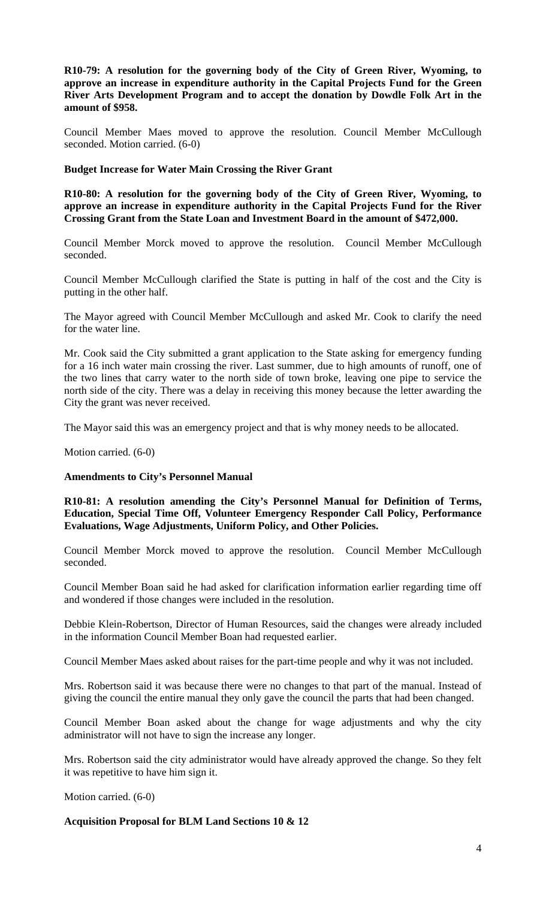**R10-79: A resolution for the governing body of the City of Green River, Wyoming, to approve an increase in expenditure authority in the Capital Projects Fund for the Green River Arts Development Program and to accept the donation by Dowdle Folk Art in the amount of \$958.** 

Council Member Maes moved to approve the resolution. Council Member McCullough seconded. Motion carried. (6-0)

#### **Budget Increase for Water Main Crossing the River Grant**

**R10-80: A resolution for the governing body of the City of Green River, Wyoming, to approve an increase in expenditure authority in the Capital Projects Fund for the River Crossing Grant from the State Loan and Investment Board in the amount of \$472,000.** 

Council Member Morck moved to approve the resolution. Council Member McCullough seconded.

Council Member McCullough clarified the State is putting in half of the cost and the City is putting in the other half.

The Mayor agreed with Council Member McCullough and asked Mr. Cook to clarify the need for the water line.

Mr. Cook said the City submitted a grant application to the State asking for emergency funding for a 16 inch water main crossing the river. Last summer, due to high amounts of runoff, one of the two lines that carry water to the north side of town broke, leaving one pipe to service the north side of the city. There was a delay in receiving this money because the letter awarding the City the grant was never received.

The Mayor said this was an emergency project and that is why money needs to be allocated.

Motion carried. (6-0)

## **Amendments to City's Personnel Manual**

**R10-81: A resolution amending the City's Personnel Manual for Definition of Terms, Education, Special Time Off, Volunteer Emergency Responder Call Policy, Performance Evaluations, Wage Adjustments, Uniform Policy, and Other Policies.** 

Council Member Morck moved to approve the resolution. Council Member McCullough seconded.

Council Member Boan said he had asked for clarification information earlier regarding time off and wondered if those changes were included in the resolution.

Debbie Klein-Robertson, Director of Human Resources, said the changes were already included in the information Council Member Boan had requested earlier.

Council Member Maes asked about raises for the part-time people and why it was not included.

Mrs. Robertson said it was because there were no changes to that part of the manual. Instead of giving the council the entire manual they only gave the council the parts that had been changed.

Council Member Boan asked about the change for wage adjustments and why the city administrator will not have to sign the increase any longer.

Mrs. Robertson said the city administrator would have already approved the change. So they felt it was repetitive to have him sign it.

Motion carried. (6-0)

## **Acquisition Proposal for BLM Land Sections 10 & 12**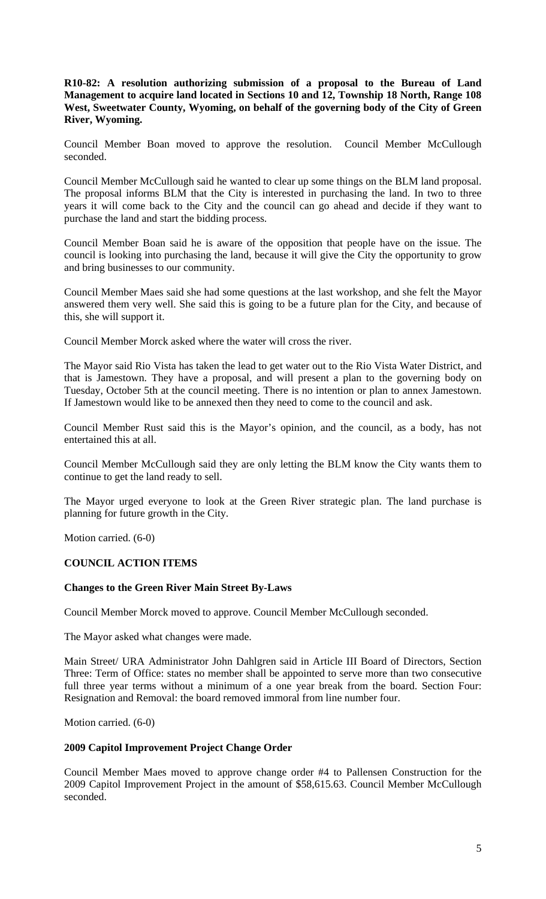## **R10-82: A resolution authorizing submission of a proposal to the Bureau of Land Management to acquire land located in Sections 10 and 12, Township 18 North, Range 108 West, Sweetwater County, Wyoming, on behalf of the governing body of the City of Green River, Wyoming.**

Council Member Boan moved to approve the resolution. Council Member McCullough seconded.

Council Member McCullough said he wanted to clear up some things on the BLM land proposal. The proposal informs BLM that the City is interested in purchasing the land. In two to three years it will come back to the City and the council can go ahead and decide if they want to purchase the land and start the bidding process.

Council Member Boan said he is aware of the opposition that people have on the issue. The council is looking into purchasing the land, because it will give the City the opportunity to grow and bring businesses to our community.

Council Member Maes said she had some questions at the last workshop, and she felt the Mayor answered them very well. She said this is going to be a future plan for the City, and because of this, she will support it.

Council Member Morck asked where the water will cross the river.

The Mayor said Rio Vista has taken the lead to get water out to the Rio Vista Water District, and that is Jamestown. They have a proposal, and will present a plan to the governing body on Tuesday, October 5th at the council meeting. There is no intention or plan to annex Jamestown. If Jamestown would like to be annexed then they need to come to the council and ask.

Council Member Rust said this is the Mayor's opinion, and the council, as a body, has not entertained this at all.

Council Member McCullough said they are only letting the BLM know the City wants them to continue to get the land ready to sell.

The Mayor urged everyone to look at the Green River strategic plan. The land purchase is planning for future growth in the City.

Motion carried. (6-0)

## **COUNCIL ACTION ITEMS**

## **Changes to the Green River Main Street By-Laws**

Council Member Morck moved to approve. Council Member McCullough seconded.

The Mayor asked what changes were made.

Main Street/ URA Administrator John Dahlgren said in Article III Board of Directors, Section Three: Term of Office: states no member shall be appointed to serve more than two consecutive full three year terms without a minimum of a one year break from the board. Section Four: Resignation and Removal: the board removed immoral from line number four.

Motion carried. (6-0)

## **2009 Capitol Improvement Project Change Order**

Council Member Maes moved to approve change order #4 to Pallensen Construction for the 2009 Capitol Improvement Project in the amount of \$58,615.63. Council Member McCullough seconded.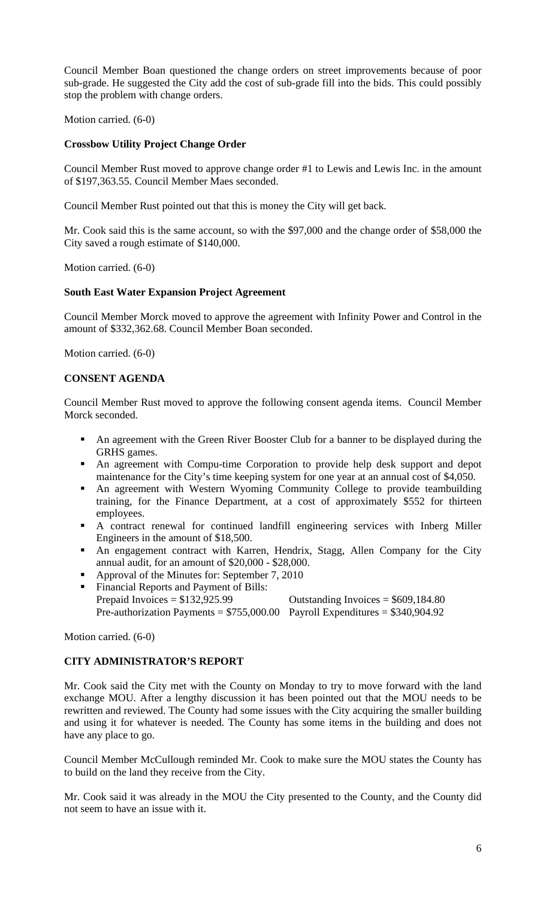Council Member Boan questioned the change orders on street improvements because of poor sub-grade. He suggested the City add the cost of sub-grade fill into the bids. This could possibly stop the problem with change orders.

Motion carried. (6-0)

#### **Crossbow Utility Project Change Order**

Council Member Rust moved to approve change order #1 to Lewis and Lewis Inc. in the amount of \$197,363.55. Council Member Maes seconded.

Council Member Rust pointed out that this is money the City will get back.

Mr. Cook said this is the same account, so with the \$97,000 and the change order of \$58,000 the City saved a rough estimate of \$140,000.

Motion carried. (6-0)

#### **South East Water Expansion Project Agreement**

Council Member Morck moved to approve the agreement with Infinity Power and Control in the amount of \$332,362.68. Council Member Boan seconded.

Motion carried. (6-0)

#### **CONSENT AGENDA**

Council Member Rust moved to approve the following consent agenda items. Council Member Morck seconded.

- An agreement with the Green River Booster Club for a banner to be displayed during the GRHS games.
- An agreement with Compu-time Corporation to provide help desk support and depot maintenance for the City's time keeping system for one year at an annual cost of \$4,050.
- An agreement with Western Wyoming Community College to provide teambuilding training, for the Finance Department, at a cost of approximately \$552 for thirteen employees.
- A contract renewal for continued landfill engineering services with Inberg Miller Engineers in the amount of \$18,500.
- An engagement contract with Karren, Hendrix, Stagg, Allen Company for the City annual audit, for an amount of \$20,000 - \$28,000.
- Approval of the Minutes for: September 7, 2010
- Financial Reports and Payment of Bills: Prepaid Invoices  $= $132.925.99$  Outstanding Invoices  $= $609.184.80$ Pre-authorization Payments =  $$755,000.00$  Payroll Expenditures =  $$340,904.92$

Motion carried. (6-0)

# **CITY ADMINISTRATOR'S REPORT**

Mr. Cook said the City met with the County on Monday to try to move forward with the land exchange MOU. After a lengthy discussion it has been pointed out that the MOU needs to be rewritten and reviewed. The County had some issues with the City acquiring the smaller building and using it for whatever is needed. The County has some items in the building and does not have any place to go.

Council Member McCullough reminded Mr. Cook to make sure the MOU states the County has to build on the land they receive from the City.

Mr. Cook said it was already in the MOU the City presented to the County, and the County did not seem to have an issue with it.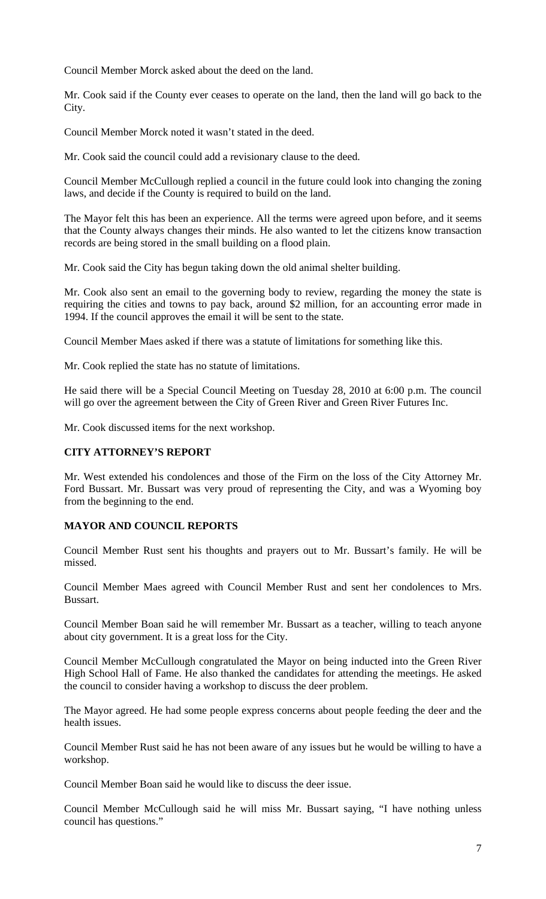Council Member Morck asked about the deed on the land.

Mr. Cook said if the County ever ceases to operate on the land, then the land will go back to the City.

Council Member Morck noted it wasn't stated in the deed.

Mr. Cook said the council could add a revisionary clause to the deed.

Council Member McCullough replied a council in the future could look into changing the zoning laws, and decide if the County is required to build on the land.

The Mayor felt this has been an experience. All the terms were agreed upon before, and it seems that the County always changes their minds. He also wanted to let the citizens know transaction records are being stored in the small building on a flood plain.

Mr. Cook said the City has begun taking down the old animal shelter building.

Mr. Cook also sent an email to the governing body to review, regarding the money the state is requiring the cities and towns to pay back, around \$2 million, for an accounting error made in 1994. If the council approves the email it will be sent to the state.

Council Member Maes asked if there was a statute of limitations for something like this.

Mr. Cook replied the state has no statute of limitations.

He said there will be a Special Council Meeting on Tuesday 28, 2010 at 6:00 p.m. The council will go over the agreement between the City of Green River and Green River Futures Inc.

Mr. Cook discussed items for the next workshop.

## **CITY ATTORNEY'S REPORT**

Mr. West extended his condolences and those of the Firm on the loss of the City Attorney Mr. Ford Bussart. Mr. Bussart was very proud of representing the City, and was a Wyoming boy from the beginning to the end.

# **MAYOR AND COUNCIL REPORTS**

Council Member Rust sent his thoughts and prayers out to Mr. Bussart's family. He will be missed.

Council Member Maes agreed with Council Member Rust and sent her condolences to Mrs. Bussart.

Council Member Boan said he will remember Mr. Bussart as a teacher, willing to teach anyone about city government. It is a great loss for the City.

Council Member McCullough congratulated the Mayor on being inducted into the Green River High School Hall of Fame. He also thanked the candidates for attending the meetings. He asked the council to consider having a workshop to discuss the deer problem.

The Mayor agreed. He had some people express concerns about people feeding the deer and the health issues.

Council Member Rust said he has not been aware of any issues but he would be willing to have a workshop.

Council Member Boan said he would like to discuss the deer issue.

Council Member McCullough said he will miss Mr. Bussart saying, "I have nothing unless council has questions."